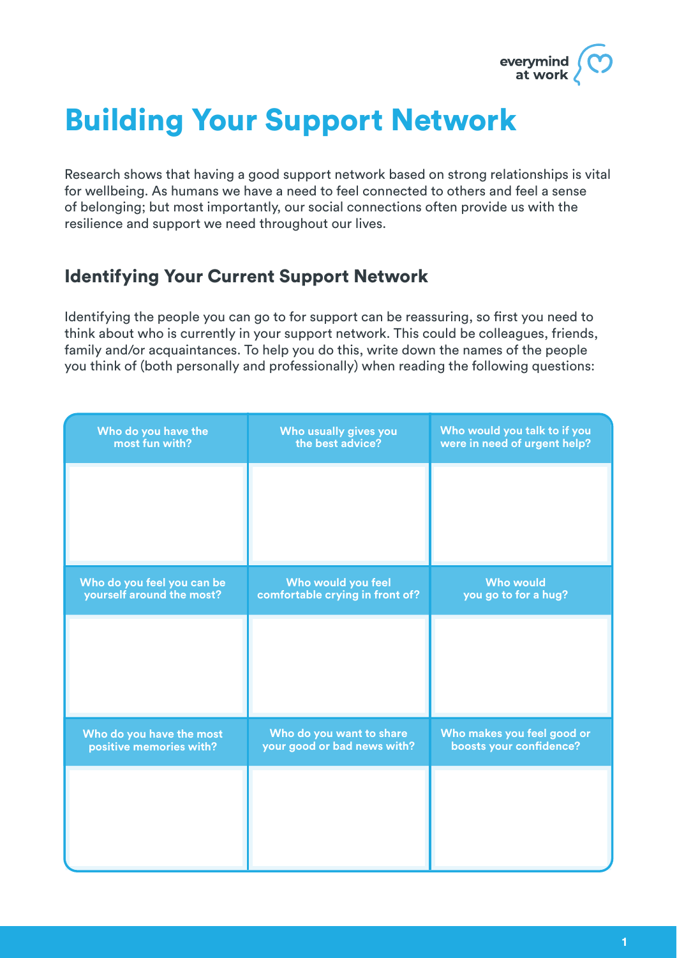

# Building Your Support Network

Research shows that having a good support network based on strong relationships is vital for wellbeing. As humans we have a need to feel connected to others and feel a sense of belonging; but most importantly, our social connections often provide us with the resilience and support we need throughout our lives.

#### Identifying Your Current Support Network

Identifying the people you can go to for support can be reassuring, so first you need to think about who is currently in your support network. This could be colleagues, friends, family and/or acquaintances. To help you do this, write down the names of the people you think of (both personally and professionally) when reading the following questions:

| Who do you have the<br>most fun with?                   | Who usually gives you<br>the best advice?               | Who would you talk to if you<br>were in need of urgent help? |
|---------------------------------------------------------|---------------------------------------------------------|--------------------------------------------------------------|
|                                                         |                                                         |                                                              |
|                                                         |                                                         |                                                              |
| Who do you feel you can be<br>yourself around the most? | Who would you feel<br>comfortable crying in front of?   | <b>Who would</b><br>you go to for a hug?                     |
|                                                         |                                                         |                                                              |
|                                                         |                                                         |                                                              |
| Who do you have the most<br>positive memories with?     | Who do you want to share<br>your good or bad news with? | Who makes you feel good or<br>boosts your confidence?        |
|                                                         |                                                         |                                                              |
|                                                         |                                                         |                                                              |